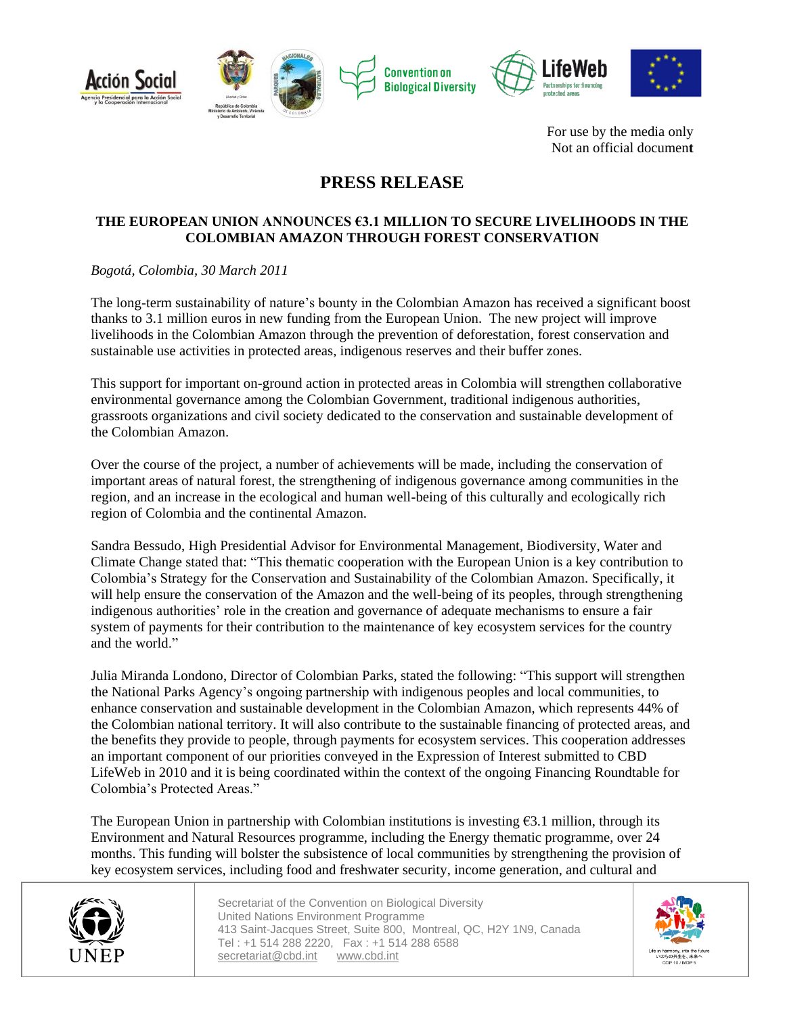



For use by the media only Not an official documen**t**

# **PRESS RELEASE**

## **THE EUROPEAN UNION ANNOUNCES €3.1 MILLION TO SECURE LIVELIHOODS IN THE COLOMBIAN AMAZON THROUGH FOREST CONSERVATION**

## *Bogotá, Colombia, 30 March 2011*

The long-term sustainability of nature's bounty in the Colombian Amazon has received a significant boost thanks to 3.1 million euros in new funding from the European Union. The new project will improve livelihoods in the Colombian Amazon through the prevention of deforestation, forest conservation and sustainable use activities in protected areas, indigenous reserves and their buffer zones.

This support for important on-ground action in protected areas in Colombia will strengthen collaborative environmental governance among the Colombian Government, traditional indigenous authorities, grassroots organizations and civil society dedicated to the conservation and sustainable development of the Colombian Amazon.

Over the course of the project, a number of achievements will be made, including the conservation of important areas of natural forest, the strengthening of indigenous governance among communities in the region, and an increase in the ecological and human well-being of this culturally and ecologically rich region of Colombia and the continental Amazon.

Sandra Bessudo, High Presidential Advisor for Environmental Management, Biodiversity, Water and Climate Change stated that: "This thematic cooperation with the European Union is a key contribution to Colombia's Strategy for the Conservation and Sustainability of the Colombian Amazon. Specifically, it will help ensure the conservation of the Amazon and the well-being of its peoples, through strengthening indigenous authorities' role in the creation and governance of adequate mechanisms to ensure a fair system of payments for their contribution to the maintenance of key ecosystem services for the country and the world."

Julia Miranda Londono, Director of Colombian Parks, stated the following: "This support will strengthen the National Parks Agency's ongoing partnership with indigenous peoples and local communities, to enhance conservation and sustainable development in the Colombian Amazon, which represents 44% of the Colombian national territory. It will also contribute to the sustainable financing of protected areas, and the benefits they provide to people, through payments for ecosystem services. This cooperation addresses an important component of our priorities conveyed in the Expression of Interest submitted to CBD LifeWeb in 2010 and it is being coordinated within the context of the ongoing Financing Roundtable for Colombia's Protected Areas."

The European Union in partnership with Colombian institutions is investing  $\epsilon$ 3.1 million, through its Environment and Natural Resources programme, including the Energy thematic programme, over 24 months. This funding will bolster the subsistence of local communities by strengthening the provision of key ecosystem services, including food and freshwater security, income generation, and cultural and



Secretariat of the Convention on Biological Diversity United Nations Environment Programme 413 Saint-Jacques Street, Suite 800, Montreal, QC, H2Y 1N9, Canada Tel : +1 514 288 2220, Fax : +1 514 288 6588 secretariat@cbd.int www.cbd.int

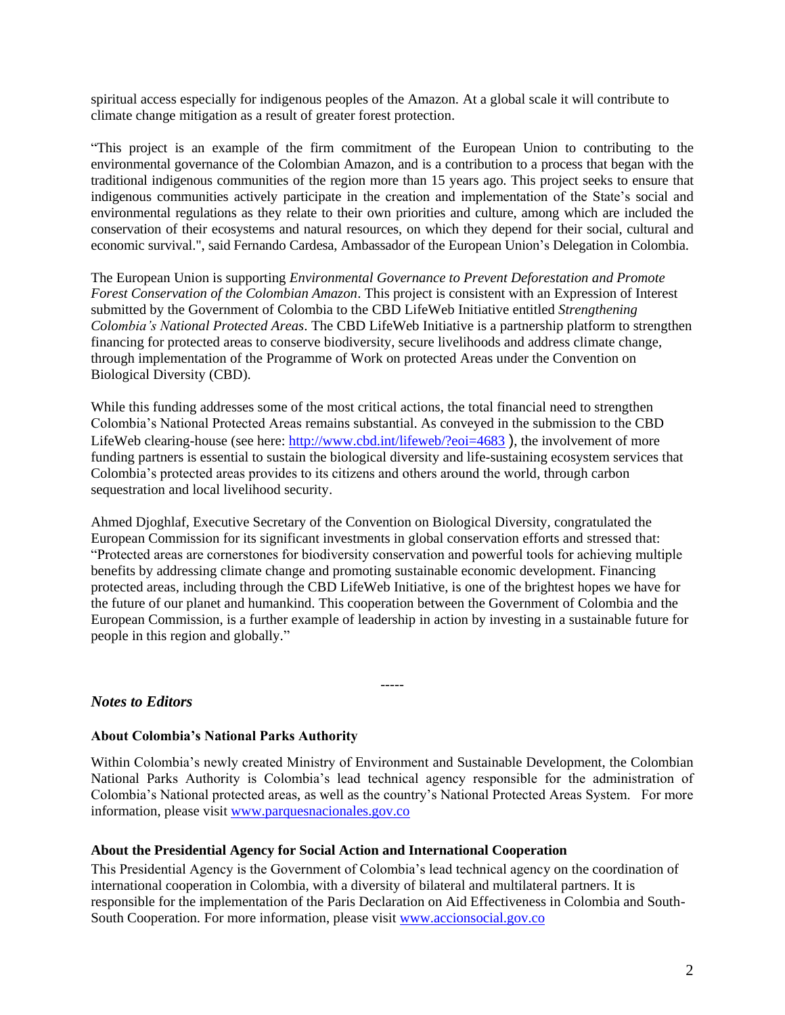spiritual access especially for indigenous peoples of the Amazon*.* At a global scale it will contribute to climate change mitigation as a result of greater forest protection.

"This project is an example of the firm commitment of the European Union to contributing to the environmental governance of the Colombian Amazon, and is a contribution to a process that began with the traditional indigenous communities of the region more than 15 years ago. This project seeks to ensure that indigenous communities actively participate in the creation and implementation of the State's social and environmental regulations as they relate to their own priorities and culture, among which are included the conservation of their ecosystems and natural resources, on which they depend for their social, cultural and economic survival.", said Fernando Cardesa, Ambassador of the European Union's Delegation in Colombia.

The European Union is supporting *Environmental Governance to Prevent Deforestation and Promote Forest Conservation of the Colombian Amazon*. This project is consistent with an Expression of Interest submitted by the Government of Colombia to the CBD LifeWeb Initiative entitled *Strengthening Colombia's National Protected Areas*. The CBD LifeWeb Initiative is a partnership platform to strengthen financing for protected areas to conserve biodiversity, secure livelihoods and address climate change, through implementation of the Programme of Work on protected Areas under the Convention on Biological Diversity (CBD).

While this funding addresses some of the most critical actions, the total financial need to strengthen Colombia's National Protected Areas remains substantial. As conveyed in the submission to the CBD LifeWeb clearing-house (see here:<http://www.cbd.int/lifeweb/?eoi=4683>), the involvement of more funding partners is essential to sustain the biological diversity and life-sustaining ecosystem services that Colombia's protected areas provides to its citizens and others around the world, through carbon sequestration and local livelihood security.

Ahmed Djoghlaf, Executive Secretary of the Convention on Biological Diversity, congratulated the European Commission for its significant investments in global conservation efforts and stressed that: "Protected areas are cornerstones for biodiversity conservation and powerful tools for achieving multiple benefits by addressing climate change and promoting sustainable economic development. Financing protected areas, including through the CBD LifeWeb Initiative, is one of the brightest hopes we have for the future of our planet and humankind. This cooperation between the Government of Colombia and the European Commission, is a further example of leadership in action by investing in a sustainable future for people in this region and globally."

-----

## *Notes to Editors*

#### **About Colombia's National Parks Authority**

Within Colombia's newly created Ministry of Environment and Sustainable Development, the Colombian National Parks Authority is Colombia's lead technical agency responsible for the administration of Colombia's National protected areas, as well as the country's National Protected Areas System. For more information, please visit [www.parquesnacionales.gov.co](http://www.parquesnacionales.gov.co/)

#### **About the Presidential Agency for Social Action and International Cooperation**

This Presidential Agency is the Government of Colombia's lead technical agency on the coordination of international cooperation in Colombia, with a diversity of bilateral and multilateral partners. It is responsible for the implementation of the Paris Declaration on Aid Effectiveness in Colombia and South-South Cooperation. For more information, please visit [www.accionsocial.gov.co](http://www.accionsocial.gov.co/)